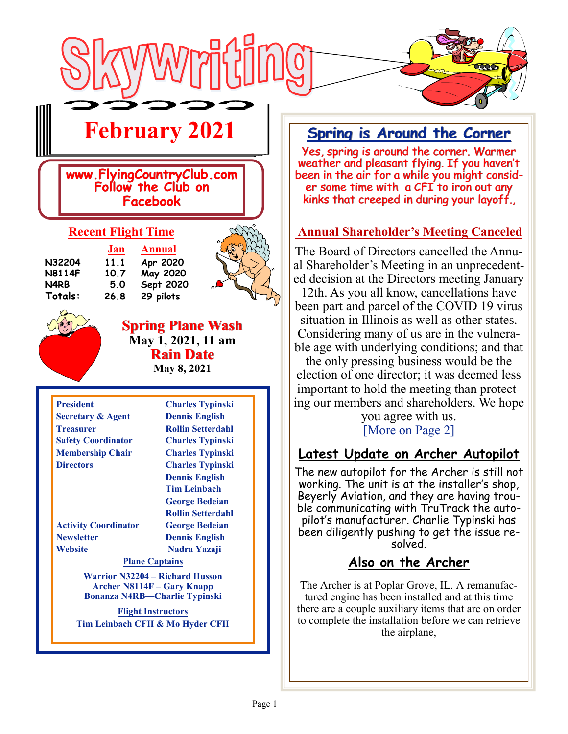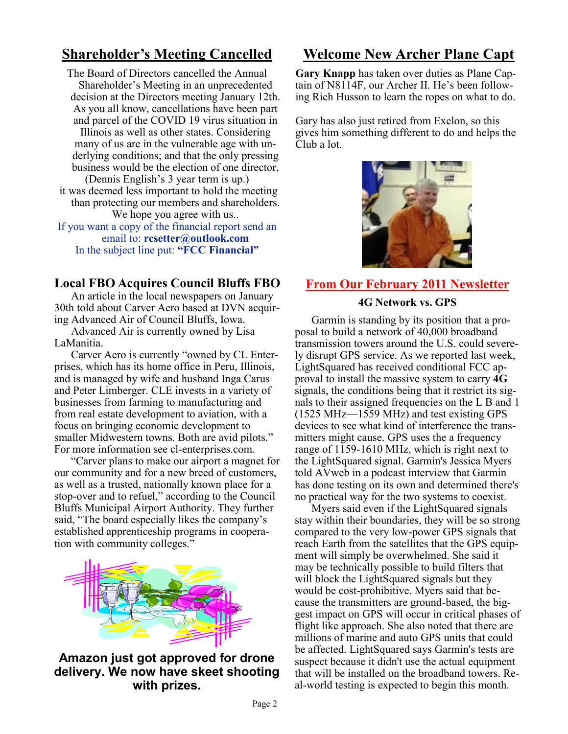## **Shareholder's Meeting Cancelled**

The Board of Directors cancelled the Annual Shareholder's Meeting in an unprecedented decision at the Directors meeting January 12th. As you all know, cancellations have been part and parcel of the COVID 19 virus situation in Illinois as well as other states. Considering many of us are in the vulnerable age with underlying conditions; and that the only pressing business would be the election of one director, (Dennis English's 3 year term is up.) it was deemed less important to hold the meeting than protecting our members and shareholders. We hope you agree with us... If you want a copy of the financial report send an email to: **rcsetter@outlook.com** In the subject line put: **"FCC Financial"**

### **Local FBO Acquires Council Bluffs FBO**

An article in the local newspapers on January 30th told about Carver Aero based at DVN acquiring Advanced Air of Council Bluffs, Iowa.

Advanced Air is currently owned by Lisa LaManitia.

Carver Aero is currently "owned by CL Enterprises, which has its home office in Peru, Illinois, and is managed by wife and husband Inga Carus and Peter Limberger. CLE invests in a variety of businesses from farming to manufacturing and from real estate development to aviation, with a focus on bringing economic development to smaller Midwestern towns. Both are avid pilots." For more information see cl-enterprises.com.

"Carver plans to make our airport a magnet for our community and for a new breed of customers, as well as a trusted, nationally known place for a stop-over and to refuel," according to the Council Bluffs Municipal Airport Authority. They further said, "The board especially likes the company's established apprenticeship programs in cooperation with community colleges."



**Amazon just got approved for drone delivery. We now have skeet shooting with prizes.**

# **Welcome New Archer Plane Capt**

**Gary Knapp** has taken over duties as Plane Captain of N8114F, our Archer II. He's been following Rich Husson to learn the ropes on what to do.

Gary has also just retired from Exelon, so this gives him something different to do and helps the Club a lot.



## **From Our February 2011 Newsletter**

#### **4G Network vs. GPS**

Garmin is standing by its position that a proposal to build a network of 40,000 broadband transmission towers around the U.S. could severely disrupt GPS service. As we reported last week, LightSquared has received conditional FCC approval to install the massive system to carry **4G** signals, the conditions being that it restrict its signals to their assigned frequencies on the L B and 1 (1525 MHz—1559 MHz) and test existing GPS devices to see what kind of interference the transmitters might cause. GPS uses the a frequency range of 1159-1610 MHz, which is right next to the LightSquared signal. Garmin's Jessica Myers told AVweb in a podcast interview that Garmin has done testing on its own and determined there's no practical way for the two systems to coexist.

Myers said even if the LightSquared signals stay within their boundaries, they will be so strong compared to the very low-power GPS signals that reach Earth from the satellites that the GPS equipment will simply be overwhelmed. She said it may be technically possible to build filters that will block the LightSquared signals but they would be cost-prohibitive. Myers said that because the transmitters are ground-based, the biggest impact on GPS will occur in critical phases of flight like approach. She also noted that there are millions of marine and auto GPS units that could be affected. LightSquared says Garmin's tests are suspect because it didn't use the actual equipment that will be installed on the broadband towers. Real-world testing is expected to begin this month.